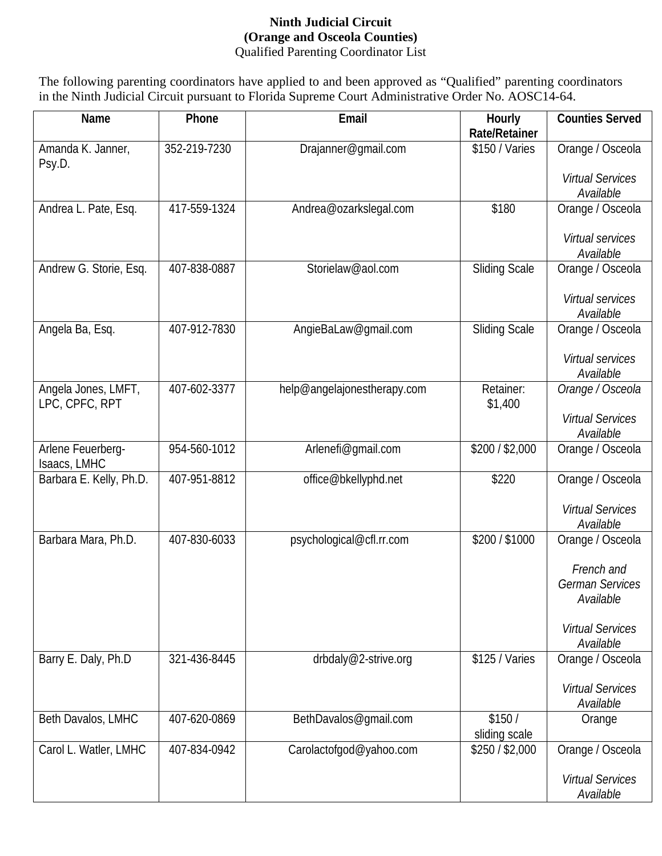## **Ninth Judicial Circuit (Orange and Osceola Counties)** Qualified Parenting Coordinator List

The following parenting coordinators have applied to and been approved as "Qualified" parenting coordinators in the Ninth Judicial Circuit pursuant to Florida Supreme Court Administrative Order No. AOSC14-64.

| Name                                  | Phone        | Email                       | Hourly<br><b>Rate/Retainer</b> | <b>Counties Served</b>                            |
|---------------------------------------|--------------|-----------------------------|--------------------------------|---------------------------------------------------|
| Amanda K. Janner,<br>Psy.D.           | 352-219-7230 | Drajanner@gmail.com         | \$150 / Varies                 | Orange / Osceola                                  |
|                                       |              |                             |                                | <b>Virtual Services</b><br>Available              |
| Andrea L. Pate, Esq.                  | 417-559-1324 | Andrea@ozarkslegal.com      | \$180                          | Orange / Osceola                                  |
|                                       |              |                             |                                | Virtual services<br>Available                     |
| Andrew G. Storie, Esq.                | 407-838-0887 | Storielaw@aol.com           | <b>Sliding Scale</b>           | Orange / Osceola                                  |
|                                       |              |                             |                                | Virtual services<br>Available                     |
| Angela Ba, Esq.                       | 407-912-7830 | AngieBaLaw@gmail.com        | <b>Sliding Scale</b>           | Orange / Osceola                                  |
|                                       |              |                             |                                | Virtual services<br>Available                     |
| Angela Jones, LMFT,<br>LPC, CPFC, RPT | 407-602-3377 | help@angelajonestherapy.com | Retainer:<br>\$1,400           | Orange / Osceola                                  |
|                                       |              |                             |                                | <b>Virtual Services</b><br>Available              |
| Arlene Feuerberg-<br>Isaacs, LMHC     | 954-560-1012 | Arlenefi@gmail.com          | \$200 / \$2,000                | Orange / Osceola                                  |
| Barbara E. Kelly, Ph.D.               | 407-951-8812 | office@bkellyphd.net        | \$220                          | Orange / Osceola                                  |
|                                       |              |                             |                                | <b>Virtual Services</b><br>Available              |
| Barbara Mara, Ph.D.                   | 407-830-6033 | psychological@cfl.rr.com    | \$200 / \$1000                 | Orange / Osceola                                  |
|                                       |              |                             |                                | French and<br><b>German Services</b><br>Available |
|                                       |              |                             |                                | <b>Virtual Services</b><br>Available              |
| Barry E. Daly, Ph.D                   | 321-436-8445 | drbdaly@2-strive.org        | \$125 / Varies                 | Orange / Osceola                                  |
|                                       |              |                             |                                | <b>Virtual Services</b><br>Available              |
| Beth Davalos, LMHC                    | 407-620-0869 | BethDavalos@gmail.com       | \$150/<br>sliding scale        | Orange                                            |
| Carol L. Watler, LMHC                 | 407-834-0942 | Carolactofgod@yahoo.com     | \$250/\$2,000                  | Orange / Osceola                                  |
|                                       |              |                             |                                | <b>Virtual Services</b><br>Available              |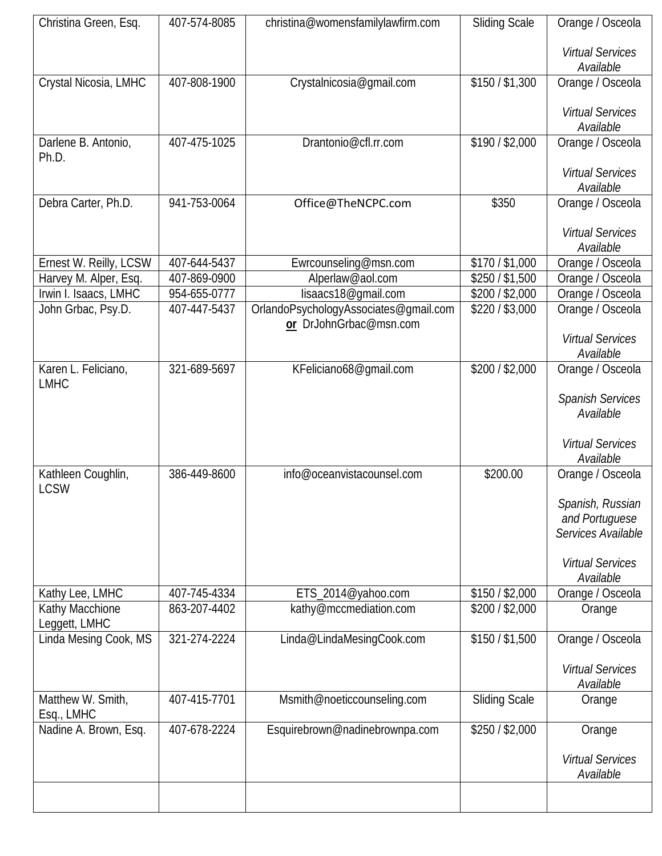| Christina Green, Esq.  | 407-574-8085 | christina@womensfamilylawfirm.com     | <b>Sliding Scale</b> | Orange / Osceola                     |
|------------------------|--------------|---------------------------------------|----------------------|--------------------------------------|
|                        |              |                                       |                      |                                      |
|                        |              |                                       |                      | <b>Virtual Services</b>              |
| Crystal Nicosia, LMHC  | 407-808-1900 | Crystalnicosia@gmail.com              | \$150/\$1,300        | Available<br>Orange / Osceola        |
|                        |              |                                       |                      |                                      |
|                        |              |                                       |                      | <b>Virtual Services</b>              |
|                        |              |                                       |                      | Available                            |
| Darlene B. Antonio,    | 407-475-1025 | Drantonio@cfl.rr.com                  | \$190/\$2,000        | Orange / Osceola                     |
| Ph.D.                  |              |                                       |                      |                                      |
|                        |              |                                       |                      | <b>Virtual Services</b>              |
|                        | 941-753-0064 |                                       | \$350                | Available                            |
| Debra Carter, Ph.D.    |              | Office@TheNCPC.com                    |                      | Orange / Osceola                     |
|                        |              |                                       |                      | <b>Virtual Services</b>              |
|                        |              |                                       |                      | Available                            |
| Ernest W. Reilly, LCSW | 407-644-5437 | Ewrcounseling@msn.com                 | \$170/\$1,000        | Orange / Osceola                     |
| Harvey M. Alper, Esq.  | 407-869-0900 | Alperlaw@aol.com                      | \$250 / \$1,500      | Orange / Osceola                     |
| Irwin I. Isaacs, LMHC  | 954-655-0777 | lisaacs18@gmail.com                   | \$200/\$2,000        | Orange / Osceola                     |
| John Grbac, Psy.D.     | 407-447-5437 | OrlandoPsychologyAssociates@gmail.com | $$220/$ \$3,000      | Orange / Osceola                     |
|                        |              | or DrJohnGrbac@msn.com                |                      | <b>Virtual Services</b>              |
|                        |              |                                       |                      | Available                            |
| Karen L. Feliciano,    | 321-689-5697 | KFeliciano68@gmail.com                | \$200/\$2,000        | Orange / Osceola                     |
| <b>LMHC</b>            |              |                                       |                      |                                      |
|                        |              |                                       |                      | Spanish Services                     |
|                        |              |                                       |                      | Available                            |
|                        |              |                                       |                      |                                      |
|                        |              |                                       |                      | <b>Virtual Services</b><br>Available |
| Kathleen Coughlin,     | 386-449-8600 | info@oceanvistacounsel.com            | \$200.00             | Orange / Osceola                     |
| <b>LCSW</b>            |              |                                       |                      |                                      |
|                        |              |                                       |                      | Spanish, Russian                     |
|                        |              |                                       |                      | and Portuguese                       |
|                        |              |                                       |                      | Services Available                   |
|                        |              |                                       |                      |                                      |
|                        |              |                                       |                      | <b>Virtual Services</b><br>Available |
| Kathy Lee, LMHC        | 407-745-4334 | ETS_2014@yahoo.com                    | \$150 / \$2,000      | Orange / Osceola                     |
| Kathy Macchione        | 863-207-4402 | kathy@mccmediation.com                | \$200/\$2,000        | Orange                               |
| Leggett, LMHC          |              |                                       |                      |                                      |
| Linda Mesing Cook, MS  | 321-274-2224 | Linda@LindaMesingCook.com             | \$150 / \$1,500      | Orange / Osceola                     |
|                        |              |                                       |                      |                                      |
|                        |              |                                       |                      | <b>Virtual Services</b>              |
| Matthew W. Smith,      | 407-415-7701 | Msmith@noeticcounseling.com           | <b>Sliding Scale</b> | Available<br>Orange                  |
| Esq., LMHC             |              |                                       |                      |                                      |
| Nadine A. Brown, Esq.  | 407-678-2224 | Esquirebrown@nadinebrownpa.com        | \$250/\$2,000        | Orange                               |
|                        |              |                                       |                      |                                      |
|                        |              |                                       |                      | <b>Virtual Services</b>              |
|                        |              |                                       |                      | Available                            |
|                        |              |                                       |                      |                                      |
|                        |              |                                       |                      |                                      |